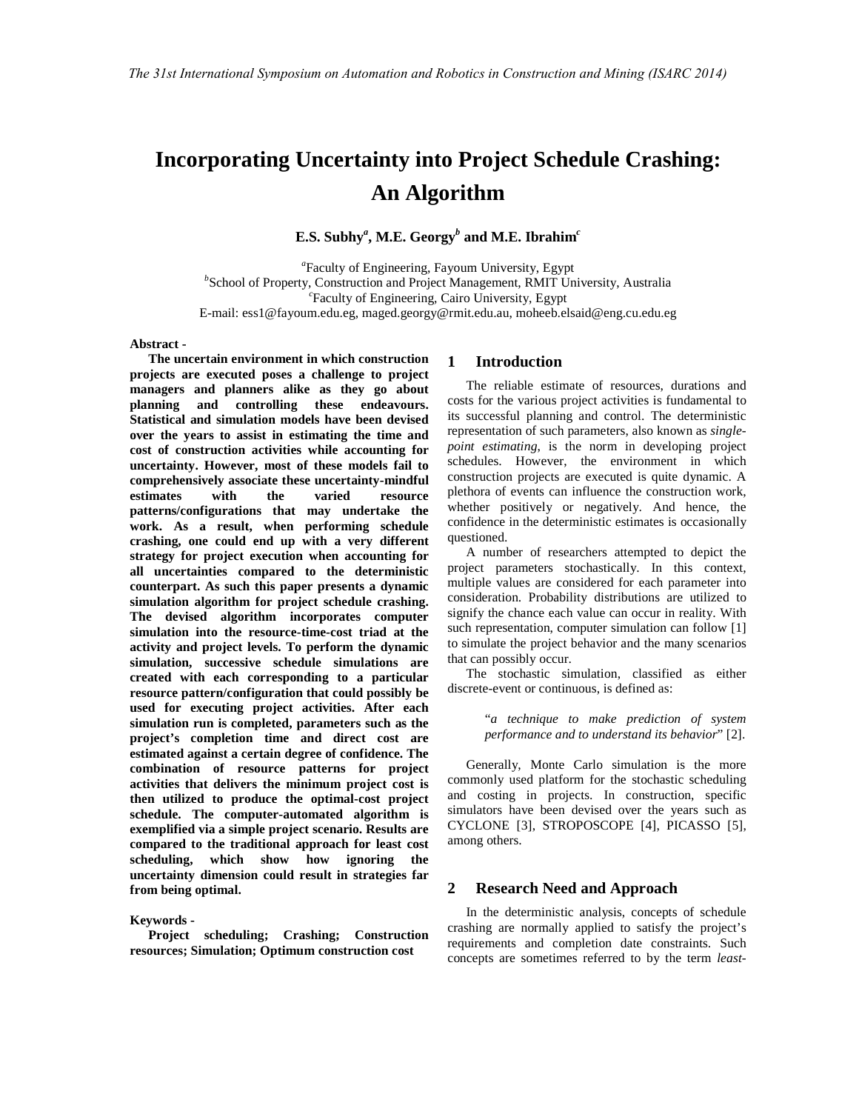# **Incorporating Uncertainty into Project Schedule Crashing: An Algorithm**

**E.S. Subhy***<sup>a</sup>* **, M.E. Georgy***<sup>b</sup>*  **and M.E. Ibrahim***<sup>c</sup>*

*a* Faculty of Engineering, Fayoum University, Egypt *b* School of Property, Construction and Project Management, RMIT University, Australia *c* Faculty of Engineering, Cairo University, Egypt E-mail: ess1@fayoum.edu.eg, maged.georgy@rmit.edu.au, moheeb.elsaid@eng.cu.edu.eg

**Abstract -** 

**The uncertain environment in which construction projects are executed poses a challenge to project managers and planners alike as they go about planning and controlling these endeavours. Statistical and simulation models have been devised over the years to assist in estimating the time and cost of construction activities while accounting for uncertainty. However, most of these models fail to comprehensively associate these uncertainty-mindful estimates with the varied resource patterns/configurations that may undertake the work. As a result, when performing schedule crashing, one could end up with a very different strategy for project execution when accounting for all uncertainties compared to the deterministic counterpart. As such this paper presents a dynamic simulation algorithm for project schedule crashing. The devised algorithm incorporates computer simulation into the resource-time-cost triad at the activity and project levels. To perform the dynamic simulation, successive schedule simulations are created with each corresponding to a particular resource pattern/configuration that could possibly be used for executing project activities. After each simulation run is completed, parameters such as the project's completion time and direct cost are estimated against a certain degree of confidence. The combination of resource patterns for project activities that delivers the minimum project cost is then utilized to produce the optimal-cost project schedule. The computer-automated algorithm is exemplified via a simple project scenario. Results are compared to the traditional approach for least cost scheduling, which show how ignoring the uncertainty dimension could result in strategies far from being optimal.** 

**Keywords -** 

**Project scheduling; Crashing; Construction resources; Simulation; Optimum construction cost** 

## **1 Introduction**

The reliable estimate of resources, durations and costs for the various project activities is fundamental to its successful planning and control. The deterministic representation of such parameters, also known as *singlepoint estimating*, is the norm in developing project schedules. However, the environment in which construction projects are executed is quite dynamic. A plethora of events can influence the construction work, whether positively or negatively. And hence, the confidence in the deterministic estimates is occasionally questioned.

A number of researchers attempted to depict the project parameters stochastically. In this context, multiple values are considered for each parameter into consideration. Probability distributions are utilized to signify the chance each value can occur in reality. With such representation, computer simulation can follow [1] to simulate the project behavior and the many scenarios that can possibly occur.

The stochastic simulation, classified as either discrete-event or continuous, is defined as:

> "*a technique to make prediction of system performance and to understand its behavior*" [2].

Generally, Monte Carlo simulation is the more commonly used platform for the stochastic scheduling and costing in projects. In construction, specific simulators have been devised over the years such as CYCLONE [3], STROPOSCOPE [4], PICASSO [5], among others.

#### **2 Research Need and Approach**

In the deterministic analysis, concepts of schedule crashing are normally applied to satisfy the project's requirements and completion date constraints. Such concepts are sometimes referred to by the term *least-*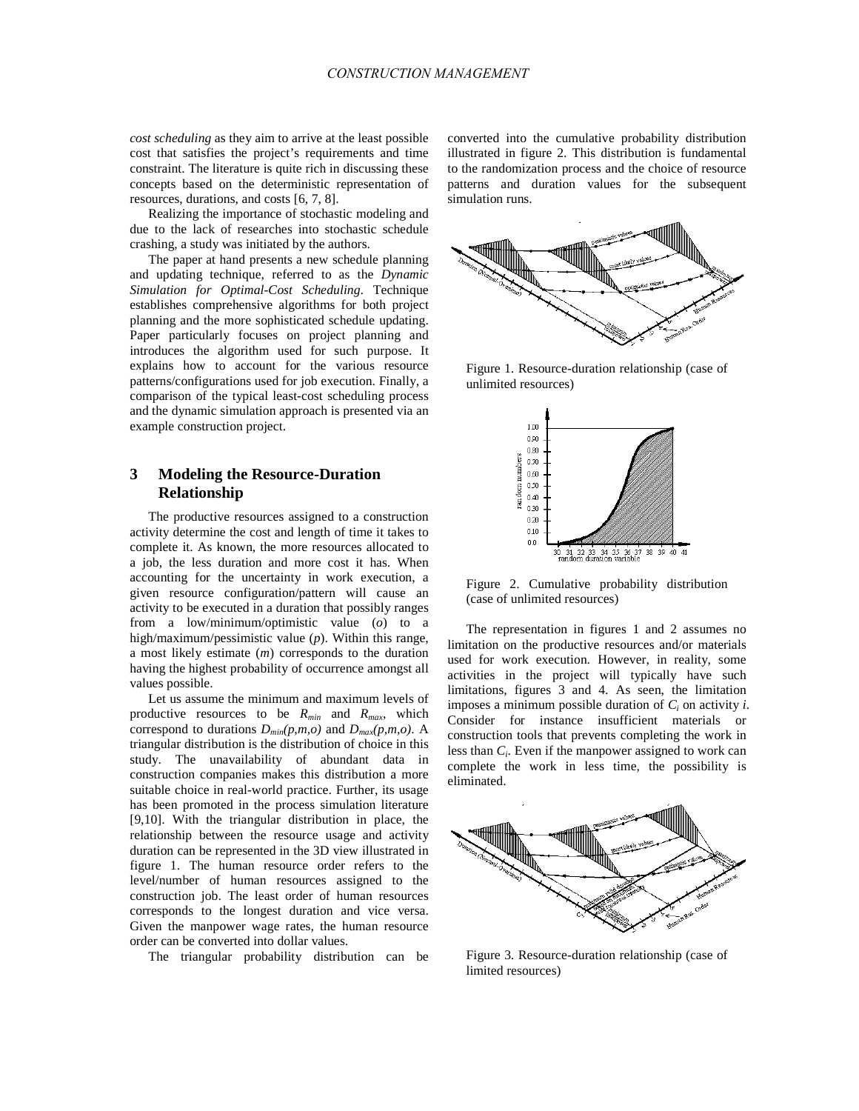*cost scheduling* as they aim to arrive at the least possible cost that satisfies the project's requirements and time constraint. The literature is quite rich in discussing these concepts based on the deterministic representation of resources, durations, and costs [6, 7, 8].

Realizing the importance of stochastic modeling and due to the lack of researches into stochastic schedule crashing, a study was initiated by the authors.

The paper at hand presents a new schedule planning and updating technique, referred to as the *Dynamic Simulation for Optimal-Cost Scheduling*. Technique establishes comprehensive algorithms for both project planning and the more sophisticated schedule updating. Paper particularly focuses on project planning and introduces the algorithm used for such purpose. It explains how to account for the various resource patterns/configurations used for job execution. Finally, a comparison of the typical least-cost scheduling process and the dynamic simulation approach is presented via an example construction project.

## **3 Modeling the Resource-Duration Relationship**

The productive resources assigned to a construction activity determine the cost and length of time it takes to complete it. As known, the more resources allocated to a job, the less duration and more cost it has. When accounting for the uncertainty in work execution, a given resource configuration/pattern will cause an activity to be executed in a duration that possibly ranges from a low/minimum/optimistic value (*o*) to a high/maximum/pessimistic value (*p*). Within this range, a most likely estimate (*m*) corresponds to the duration having the highest probability of occurrence amongst all values possible.

Let us assume the minimum and maximum levels of productive resources to be *Rmin* and *Rmax*, which correspond to durations  $D_{min}(p,m,o)$  and  $D_{max}(p,m,o)$ . A triangular distribution is the distribution of choice in this study. The unavailability of abundant data in construction companies makes this distribution a more suitable choice in real-world practice. Further, its usage has been promoted in the process simulation literature [9,10]. With the triangular distribution in place, the relationship between the resource usage and activity duration can be represented in the 3D view illustrated in figure 1. The human resource order refers to the level/number of human resources assigned to the construction job. The least order of human resources corresponds to the longest duration and vice versa. Given the manpower wage rates, the human resource order can be converted into dollar values.

The triangular probability distribution can be

converted into the cumulative probability distribution illustrated in figure 2. This distribution is fundamental to the randomization process and the choice of resource patterns and duration values for the subsequent simulation runs.



Figure 1. Resource-duration relationship (case of unlimited resources)



Figure 2. Cumulative probability distribution (case of unlimited resources)

The representation in figures 1 and 2 assumes no limitation on the productive resources and/or materials used for work execution. However, in reality, some activities in the project will typically have such limitations, figures 3 and 4. As seen, the limitation imposes a minimum possible duration of  $C_i$  on activity *i*. Consider for instance insufficient materials or construction tools that prevents completing the work in less than *C<sup>i</sup>* . Even if the manpower assigned to work can complete the work in less time, the possibility is eliminated.



Figure 3. Resource-duration relationship (case of limited resources)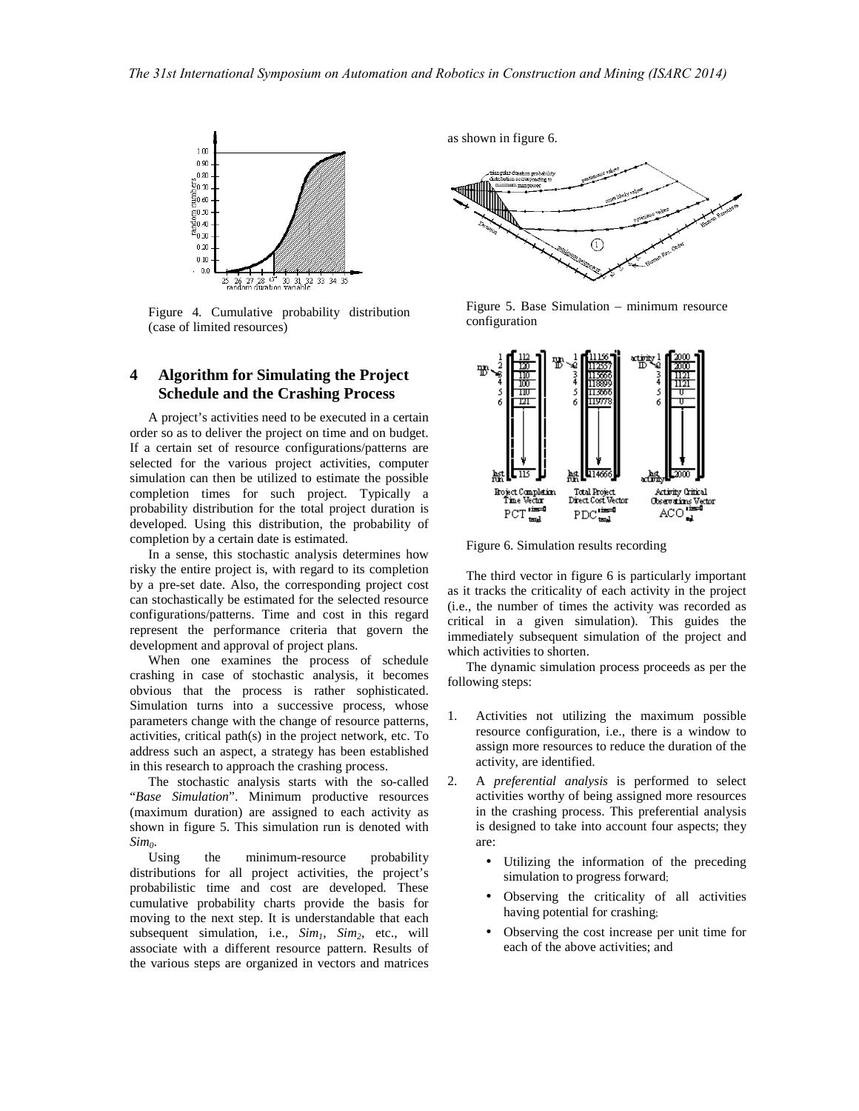

Figure 4. Cumulative probability distribution (case of limited resources)

# **4 Algorithm for Simulating the Project Schedule and the Crashing Process**

A project's activities need to be executed in a certain order so as to deliver the project on time and on budget. If a certain set of resource configurations/patterns are selected for the various project activities, computer simulation can then be utilized to estimate the possible completion times for such project. Typically a probability distribution for the total project duration is developed. Using this distribution, the probability of completion by a certain date is estimated.

In a sense, this stochastic analysis determines how risky the entire project is, with regard to its completion by a pre-set date. Also, the corresponding project cost can stochastically be estimated for the selected resource configurations/patterns. Time and cost in this regard represent the performance criteria that govern the development and approval of project plans.

When one examines the process of schedule crashing in case of stochastic analysis, it becomes obvious that the process is rather sophisticated. Simulation turns into a successive process, whose parameters change with the change of resource patterns, activities, critical path(s) in the project network, etc. To address such an aspect, a strategy has been established in this research to approach the crashing process.

The stochastic analysis starts with the so-called "*Base Simulation*". Minimum productive resources (maximum duration) are assigned to each activity as shown in figure 5. This simulation run is denoted with *Sim0*.

the minimum-resource probability distributions for all project activities, the project's probabilistic time and cost are developed. These cumulative probability charts provide the basis for moving to the next step. It is understandable that each subsequent simulation, i.e., *Sim1*, *Sim2*, etc., will associate with a different resource pattern. Results of the various steps are organized in vectors and matrices

as shown in figure 6.



Figure 5. Base Simulation – minimum resource configuration



Figure 6. Simulation results recording

The third vector in figure 6 is particularly important as it tracks the criticality of each activity in the project (i.e., the number of times the activity was recorded as critical in a given simulation). This guides the immediately subsequent simulation of the project and which activities to shorten.

The dynamic simulation process proceeds as per the following steps:

- 1. Activities not utilizing the maximum possible resource configuration, i.e., there is a window to assign more resources to reduce the duration of the activity, are identified.
- 2. A *preferential analysis* is performed to select activities worthy of being assigned more resources in the crashing process. This preferential analysis is designed to take into account four aspects; they are:
	- Utilizing the information of the preceding simulation to progress forward;
	- Observing the criticality of all activities having potential for crashing;
	- Observing the cost increase per unit time for each of the above activities; and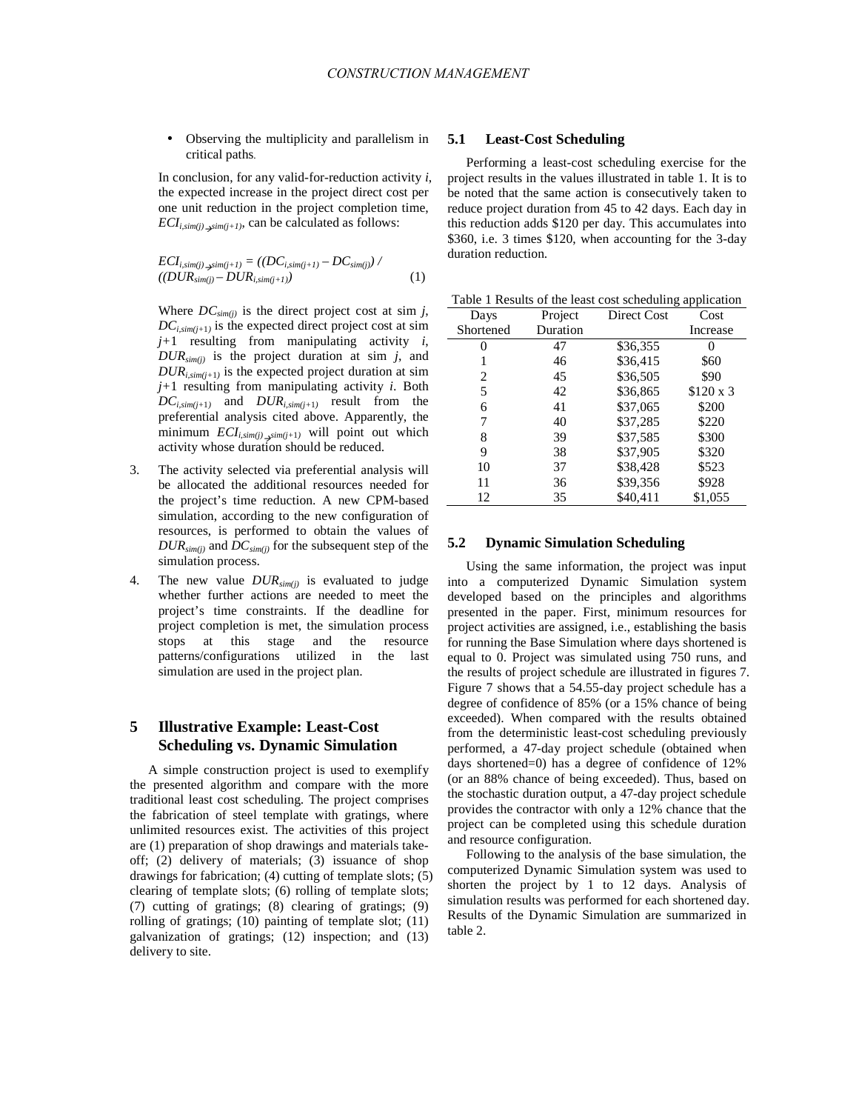• Observing the multiplicity and parallelism in critical paths.

In conclusion, for any valid-for-reduction activity *i*, the expected increase in the project direct cost per one unit reduction in the project completion time,  $ECI_{i,sim(j)\rightarrow sim(j+1)}$ , can be calculated as follows:

$$
ECI_{i,sim(j)}\underset{\mathcal{S}^{sim(j)}-DUR_{i,sim(j+1)}}{=((DC_{i,sim(j+1)}-DC_{sim(j)})}/\tag{1}
$$

Where  $DC_{sim(i)}$  is the direct project cost at sim *j*,  $DC_{i, \text{sim}(j+1)}$  is the expected direct project cost at sim *j+*1 resulting from manipulating activity *i*, *DURsim(j)* is the project duration at sim *j*, and  $DUR_{i,sim(j+1)}$  is the expected project duration at sim *j+*1 resulting from manipulating activity *i*. Both  $DC_{i,sim(j+1)}$  and  $DUR_{i,sim(j+1)}$  result from the preferential analysis cited above. Apparently, the minimum  $ECI_{i, sim(j)}$  *sim(j+1)* will point out which activity whose duration should be reduced.

- 3. The activity selected via preferential analysis will be allocated the additional resources needed for the project's time reduction. A new CPM-based simulation, according to the new configuration of resources, is performed to obtain the values of *DURsim(j)* and *DCsim(j)* for the subsequent step of the simulation process.
- 4. The new value *DURsim(j)* is evaluated to judge whether further actions are needed to meet the project's time constraints. If the deadline for project completion is met, the simulation process stops at this stage and the resource patterns/configurations utilized in the last simulation are used in the project plan.

# **5 Illustrative Example: Least-Cost Scheduling vs. Dynamic Simulation**

A simple construction project is used to exemplify the presented algorithm and compare with the more traditional least cost scheduling. The project comprises the fabrication of steel template with gratings, where unlimited resources exist. The activities of this project are (1) preparation of shop drawings and materials takeoff; (2) delivery of materials; (3) issuance of shop drawings for fabrication; (4) cutting of template slots; (5) clearing of template slots; (6) rolling of template slots; (7) cutting of gratings; (8) clearing of gratings; (9) rolling of gratings; (10) painting of template slot; (11) galvanization of gratings; (12) inspection; and (13) delivery to site.

#### **5.1 Least-Cost Scheduling**

Performing a least-cost scheduling exercise for the project results in the values illustrated in table 1. It is to be noted that the same action is consecutively taken to reduce project duration from 45 to 42 days. Each day in this reduction adds \$120 per day. This accumulates into \$360, i.e. 3 times \$120, when accounting for the 3-day duration reduction.

Table 1 Results of the least cost scheduling application

| Days      | Project  | Direct Cost | Cost            |
|-----------|----------|-------------|-----------------|
| Shortened | Duration |             | Increase        |
|           | 47       | \$36,355    |                 |
|           | 46       | \$36,415    | \$60            |
| 2         | 45       | \$36,505    | \$90            |
| 5         | 42       | \$36,865    | $$120 \times 3$ |
| 6         | 41       | \$37,065    | \$200           |
| 7         | 40       | \$37,285    | \$220           |
| 8         | 39       | \$37,585    | \$300           |
| 9         | 38       | \$37,905    | \$320           |
| 10        | 37       | \$38,428    | \$523           |
| 11        | 36       | \$39,356    | \$928           |
| 12        | 35       | \$40,411    | \$1,055         |

#### **5.2 Dynamic Simulation Scheduling**

Using the same information, the project was input into a computerized Dynamic Simulation system developed based on the principles and algorithms presented in the paper. First, minimum resources for project activities are assigned, i.e., establishing the basis for running the Base Simulation where days shortened is equal to 0. Project was simulated using 750 runs, and the results of project schedule are illustrated in figures 7. Figure 7 shows that a 54.55-day project schedule has a degree of confidence of 85% (or a 15% chance of being exceeded). When compared with the results obtained from the deterministic least-cost scheduling previously performed, a 47-day project schedule (obtained when days shortened=0) has a degree of confidence of 12% (or an 88% chance of being exceeded). Thus, based on the stochastic duration output, a 47-day project schedule provides the contractor with only a 12% chance that the project can be completed using this schedule duration and resource configuration.

Following to the analysis of the base simulation, the computerized Dynamic Simulation system was used to shorten the project by 1 to 12 days. Analysis of simulation results was performed for each shortened day. Results of the Dynamic Simulation are summarized in table 2.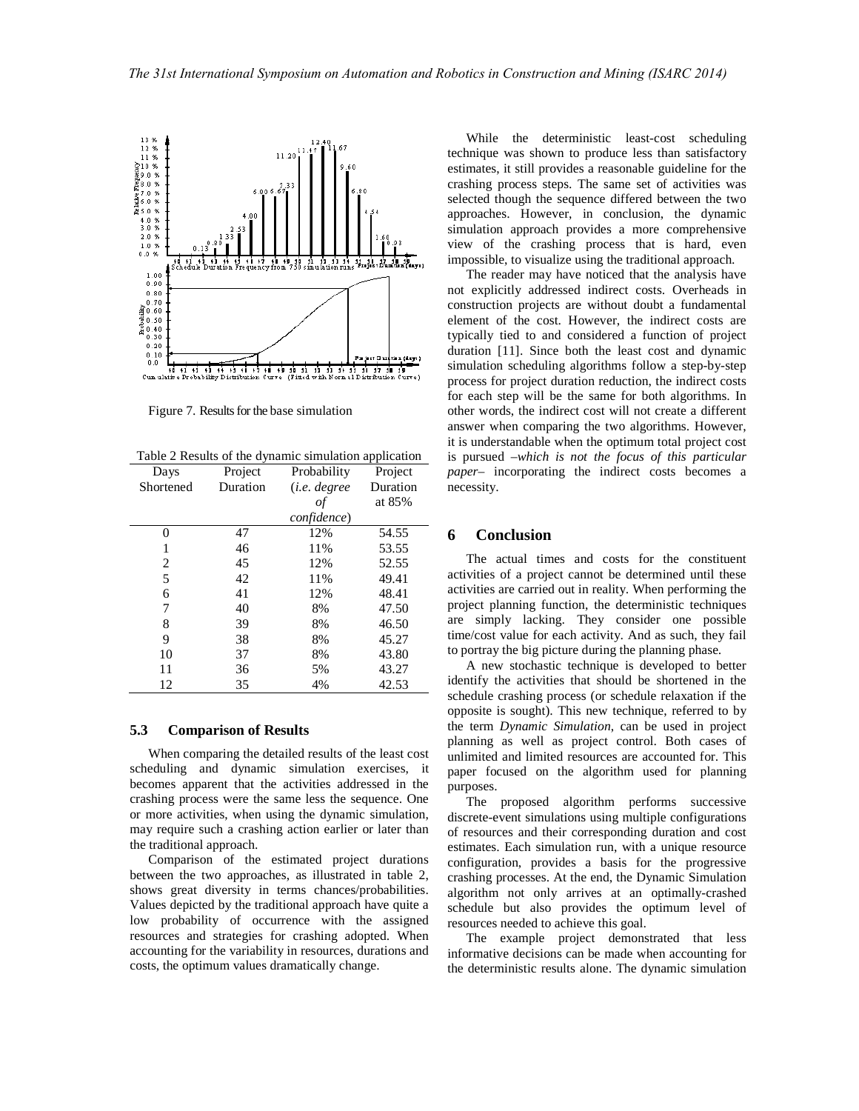

Figure 7. Results for the base simulation

Table 2 Results of the dynamic simulation application

| Days      | Project  | Probability          | Project  |
|-----------|----------|----------------------|----------|
| Shortened | Duration | ( <i>i.e.</i> degree | Duration |
|           |          | οf                   | at 85%   |
|           |          | confidence)          |          |
| 0         | 47       | 12%                  | 54.55    |
| 1         | 46       | 11%                  | 53.55    |
| 2         | 45       | 12%                  | 52.55    |
| 5         | 42       | 11%                  | 49.41    |
| 6         | 41       | 12%                  | 48.41    |
| 7         | 40       | 8%                   | 47.50    |
| 8         | 39       | 8%                   | 46.50    |
| 9         | 38       | 8%                   | 45.27    |
| 10        | 37       | 8%                   | 43.80    |
| 11        | 36       | 5%                   | 43.27    |
| 12        | 35       | 4%                   | 42.53    |

#### **5.3 Comparison of Results**

When comparing the detailed results of the least cost scheduling and dynamic simulation exercises, it becomes apparent that the activities addressed in the crashing process were the same less the sequence. One or more activities, when using the dynamic simulation, may require such a crashing action earlier or later than the traditional approach.

Comparison of the estimated project durations between the two approaches, as illustrated in table 2, shows great diversity in terms chances/probabilities. Values depicted by the traditional approach have quite a low probability of occurrence with the assigned resources and strategies for crashing adopted. When accounting for the variability in resources, durations and costs, the optimum values dramatically change.

While the deterministic least-cost scheduling technique was shown to produce less than satisfactory estimates, it still provides a reasonable guideline for the crashing process steps. The same set of activities was selected though the sequence differed between the two approaches. However, in conclusion, the dynamic simulation approach provides a more comprehensive view of the crashing process that is hard, even impossible, to visualize using the traditional approach.

The reader may have noticed that the analysis have not explicitly addressed indirect costs. Overheads in construction projects are without doubt a fundamental element of the cost. However, the indirect costs are typically tied to and considered a function of project duration [11]. Since both the least cost and dynamic simulation scheduling algorithms follow a step-by-step process for project duration reduction, the indirect costs for each step will be the same for both algorithms. In other words, the indirect cost will not create a different answer when comparing the two algorithms. However, it is understandable when the optimum total project cost is pursued –*which is not the focus of this particular paper*– incorporating the indirect costs becomes a necessity.

## **6 Conclusion**

The actual times and costs for the constituent activities of a project cannot be determined until these activities are carried out in reality. When performing the project planning function, the deterministic techniques are simply lacking. They consider one possible time/cost value for each activity. And as such, they fail to portray the big picture during the planning phase.

A new stochastic technique is developed to better identify the activities that should be shortened in the schedule crashing process (or schedule relaxation if the opposite is sought). This new technique, referred to by the term *Dynamic Simulation*, can be used in project planning as well as project control. Both cases of unlimited and limited resources are accounted for. This paper focused on the algorithm used for planning purposes.

The proposed algorithm performs successive discrete-event simulations using multiple configurations of resources and their corresponding duration and cost estimates. Each simulation run, with a unique resource configuration, provides a basis for the progressive crashing processes. At the end, the Dynamic Simulation algorithm not only arrives at an optimally-crashed schedule but also provides the optimum level of resources needed to achieve this goal.

The example project demonstrated that less informative decisions can be made when accounting for the deterministic results alone. The dynamic simulation